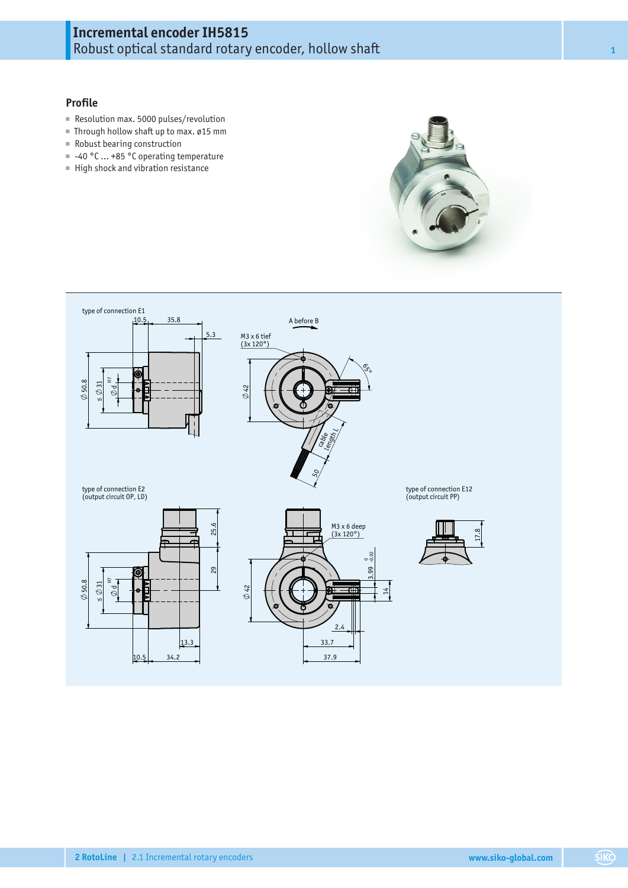# **Incremental encoder IH5815** Robust optical standard rotary encoder, hollow shaft **<sup>1</sup>**

## **Profile**

- Resolution max. 5000 pulses/revolution
- Through hollow shaft up to max. ø15 mm
- Robust bearing construction
- -40 °C ... +85 °C operating temperature
- High shock and vibration resistance



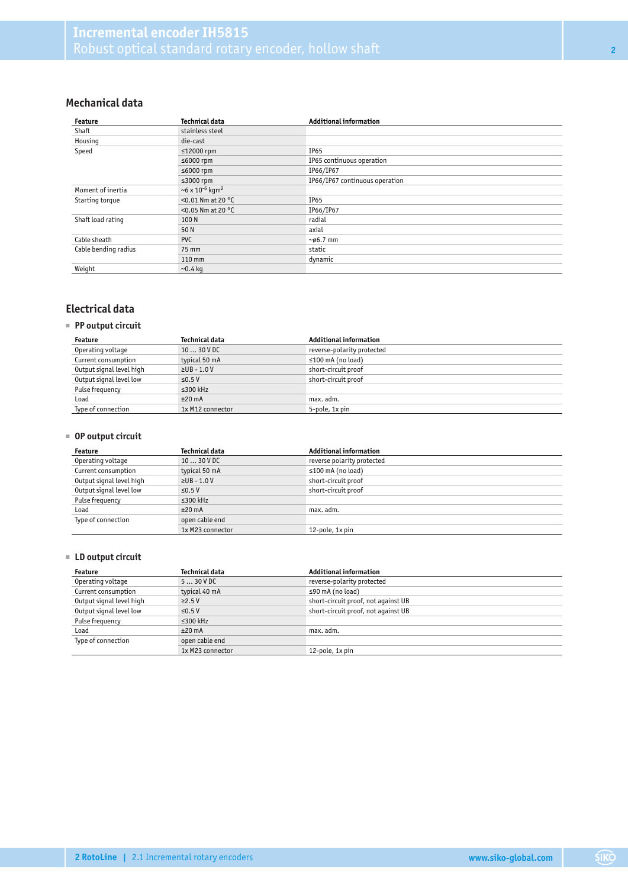# **Mechanical data**

| Feature              | Technical data                        | <b>Additional information</b>  |
|----------------------|---------------------------------------|--------------------------------|
| Shaft                | stainless steel                       |                                |
| Housing              | die-cast                              |                                |
| Speed                | $≤12000$ rpm                          | IP65                           |
|                      | ≤6000 rpm                             | IP65 continuous operation      |
|                      | ≤6000 rpm                             | IP66/IP67                      |
|                      | $≤3000$ rpm                           | IP66/IP67 continuous operation |
| Moment of inertia    | $~56 \times 10^{-6}$ kgm <sup>2</sup> |                                |
| Starting torque      | <0.01 Nm at 20 $^{\circ}$ C           | IP65                           |
|                      | <0.05 Nm at 20 $^{\circ}$ C           | IP66/IP67                      |
| Shaft load rating    | 100N                                  | radial                         |
|                      | 50 N                                  | axial                          |
| Cable sheath         | <b>PVC</b>                            | $~\sim$ 06.7 mm                |
| Cable bending radius | 75 mm                                 | static                         |
|                      | 110 mm                                | dynamic                        |
| Weight               | $-0.4$ kg                             |                                |

# **Electrical data**

#### ■ **PP output circuit**

| Feature                  | Technical data    | <b>Additional information</b> |
|--------------------------|-------------------|-------------------------------|
| Operating voltage        | $1030$ V DC       | reverse-polarity protected    |
| Current consumption      | typical 50 mA     | $\leq$ 100 mA (no load)       |
| Output signal level high | $\geq$ UB - 1.0 V | short-circuit proof           |
| Output signal level low  | $\leq$ 0.5 V      | short-circuit proof           |
| Pulse frequency          | $\leq$ 300 kHz    |                               |
| Load                     | $±20$ mA          | max. adm.                     |
| Type of connection       | 1x M12 connector  | 5-pole, 1x pin                |

## ■ **OP output circuit**

| Feature                  | Technical data    | <b>Additional information</b> |
|--------------------------|-------------------|-------------------------------|
| Operating voltage        | $1030$ V DC       | reverse polarity protected    |
| Current consumption      | typical 50 mA     | $\leq$ 100 mA (no load)       |
| Output signal level high | $\geq$ UB - 1.0 V | short-circuit proof           |
| Output signal level low  | $\leq$ 0.5 V      | short-circuit proof           |
| Pulse frequency          | $\leq$ 300 kHz    |                               |
| Load                     | $±20$ mA          | max. adm.                     |
| Type of connection       | open cable end    |                               |
|                          | 1x M23 connector  | 12-pole, 1x pin               |

## ■ **LD output circuit**

| Feature                  | Technical data   | <b>Additional information</b>       |  |  |  |
|--------------------------|------------------|-------------------------------------|--|--|--|
| Operating voltage        | 530VDC           | reverse-polarity protected          |  |  |  |
| Current consumption      | typical 40 mA    | $\leq$ 90 mA (no load)              |  |  |  |
| Output signal level high | $\geq$ 2.5 V     | short-circuit proof, not against UB |  |  |  |
| Output signal level low  | $\leq$ 0.5 V     | short-circuit proof, not against UB |  |  |  |
| Pulse frequency          | $\leq$ 300 kHz   |                                     |  |  |  |
| Load                     | $±20$ mA         | max. adm.                           |  |  |  |
| Type of connection       | open cable end   |                                     |  |  |  |
|                          | 1x M23 connector | 12-pole, 1x pin                     |  |  |  |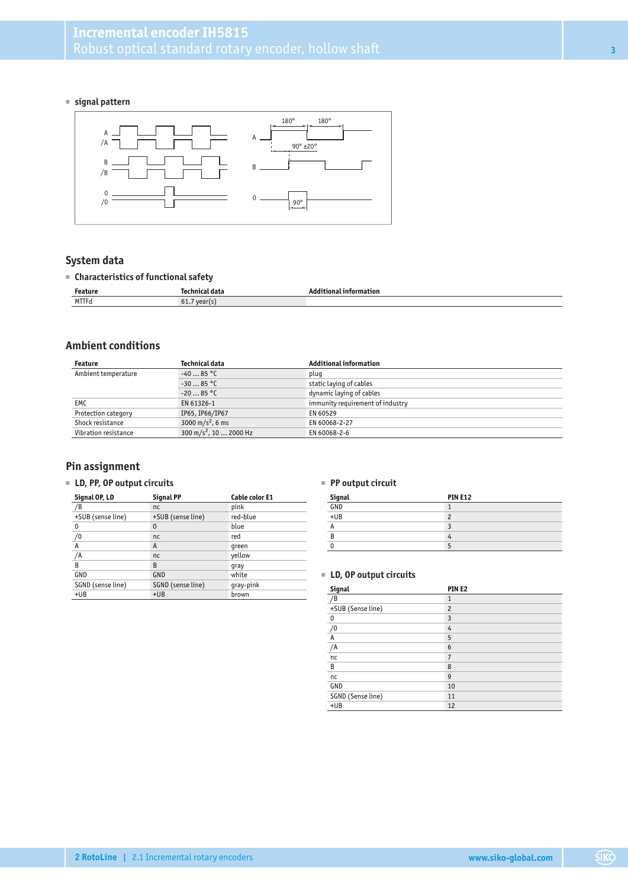#### ■ **signal pattern**



## **System data**

## ■ **Characteristics of functional safety**

|              |             | :10 N<br>\nr.<br>. |
|--------------|-------------|--------------------|
| <b>MTTFc</b> | 61.<br>vear |                    |

# **Ambient conditions**

| Feature              | Technical data                     | <b>Additional information</b>    |
|----------------------|------------------------------------|----------------------------------|
| Ambient temperature  | $-4085$ °C                         | plug                             |
|                      | $-3085 °C$                         | static laying of cables          |
|                      | $-2085$ °C                         | dynamic laying of cables         |
| <b>EMC</b>           | EN 61326-1                         | immunity requirement of industry |
| Protection category  | IP65, IP66/IP67                    | EN 60529                         |
| Shock resistance     | 3000 m/s <sup>2</sup> , 6 ms       | EN 60068-2-27                    |
| Vibration resistance | 300 m/s <sup>2</sup> , 10  2000 Hz | EN 60068-2-6                     |

## **Pin assignment**

## ■ **LD, PP, OP output circuits**

| Signal OP, LD     | <b>Signal PP</b>  | Cable color E1 |
|-------------------|-------------------|----------------|
| /B                | nc                | pink           |
| +SUB (sense line) | +SUB (sense line) | red-blue       |
| 0                 | $\mathbf 0$       | blue           |
| /0                | nc                | red            |
| А                 | A                 | green          |
| /A                | nc                | vellow         |
| B                 | B                 | qray           |
| GND               | GND               | white          |
| SGND (sense line) | SGND (sense line) | qray-pink      |
| $+UB$             | $+UB$             | brown          |

#### ■ **PP output circuit**

| Signal | <b>PIN E12</b> |
|--------|----------------|
| GND    |                |
| $+UB$  | n              |
|        |                |
| R      |                |
|        |                |

#### ■ **LD, OP output circuits**

| Signal            | PIN <sub>E2</sub> |
|-------------------|-------------------|
| /B                | 1                 |
| +SUB (Sense line) | $\overline{c}$    |
| 0                 | 3                 |
| /0                | 4                 |
| А                 | 5                 |
| /A                | 6                 |
| nc                | 7                 |
| B                 | 8                 |
| nc                | 9                 |
| GND               | 10                |
| SGND (Sense line) | 11                |
| $+UB$             | 12                |